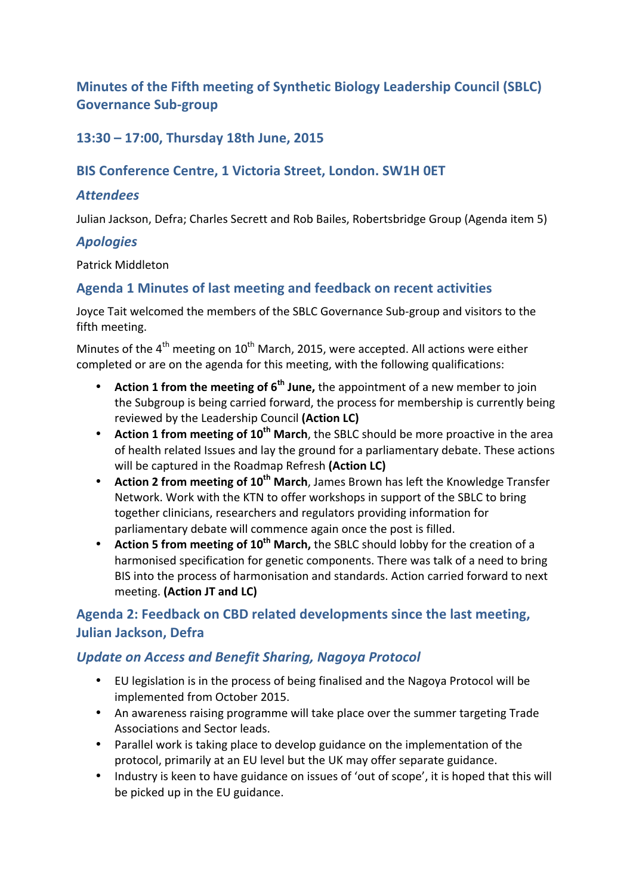# **Minutes of the Fifth meeting of Synthetic Biology Leadership Council (SBLC) Governance Sub-group**

## **13:30 – 17:00, Thursday 18th June, 2015**

## **BIS Conference Centre, 1 Victoria Street, London. SW1H OET**

### *Attendees*

Julian Jackson, Defra; Charles Secrett and Rob Bailes, Robertsbridge Group (Agenda item 5)

#### *Apologies*

Patrick Middleton

### Agenda 1 Minutes of last meeting and feedback on recent activities

Joyce Tait welcomed the members of the SBLC Governance Sub-group and visitors to the fifth meeting.

Minutes of the  $4<sup>th</sup>$  meeting on  $10<sup>th</sup>$  March, 2015, were accepted. All actions were either completed or are on the agenda for this meeting, with the following qualifications:

- **Action 1 from the meeting of 6<sup>th</sup> June,** the appointment of a new member to join the Subgroup is being carried forward, the process for membership is currently being reviewed by the Leadership Council (Action LC)
- **Action 1 from meeting of 10<sup>th</sup> March**, the SBLC should be more proactive in the area of health related Issues and lay the ground for a parliamentary debate. These actions will be captured in the Roadmap Refresh (Action LC)
- **Action 2 from meeting of 10<sup>th</sup> March**, James Brown has left the Knowledge Transfer Network. Work with the KTN to offer workshops in support of the SBLC to bring together clinicians, researchers and regulators providing information for parliamentary debate will commence again once the post is filled.
- **Action 5 from meeting of 10<sup>th</sup> March,** the SBLC should lobby for the creation of a harmonised specification for genetic components. There was talk of a need to bring BIS into the process of harmonisation and standards. Action carried forward to next meeting. **(Action JT and LC)**

# Agenda 2: Feedback on CBD related developments since the last meeting, **Julian Jackson, Defra**

### *Update on Access and Benefit Sharing, Nagoya Protocol*

- EU legislation is in the process of being finalised and the Nagoya Protocol will be implemented from October 2015.
- An awareness raising programme will take place over the summer targeting Trade Associations and Sector leads.
- Parallel work is taking place to develop guidance on the implementation of the protocol, primarily at an EU level but the UK may offer separate guidance.
- Industry is keen to have guidance on issues of 'out of scope', it is hoped that this will be picked up in the EU guidance.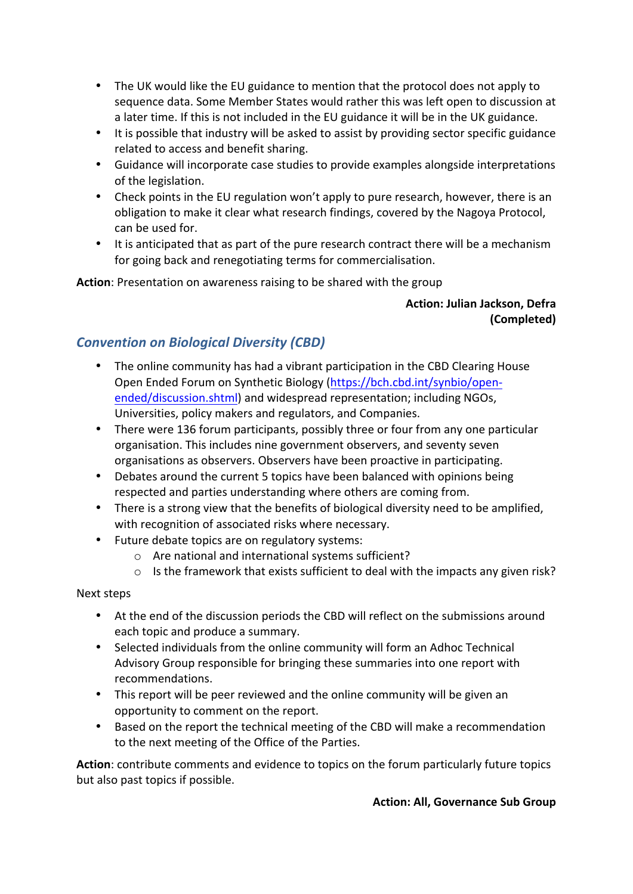- The UK would like the EU guidance to mention that the protocol does not apply to sequence data. Some Member States would rather this was left open to discussion at a later time. If this is not included in the EU guidance it will be in the UK guidance.
- It is possible that industry will be asked to assist by providing sector specific guidance related to access and benefit sharing.
- Guidance will incorporate case studies to provide examples alongside interpretations of the legislation.
- Check points in the EU regulation won't apply to pure research, however, there is an obligation to make it clear what research findings, covered by the Nagoya Protocol, can be used for.
- It is anticipated that as part of the pure research contract there will be a mechanism for going back and renegotiating terms for commercialisation.

**Action:** Presentation on awareness raising to be shared with the group

### **Action: Julian Jackson, Defra (Completed)**

# *Convention on Biological Diversity (CBD)*

- The online community has had a vibrant participation in the CBD Clearing House Open Ended Forum on Synthetic Biology (https://bch.cbd.int/synbio/openended/discussion.shtml) and widespread representation; including NGOs, Universities, policy makers and regulators, and Companies.
- There were 136 forum participants, possibly three or four from any one particular organisation. This includes nine government observers, and seventy seven organisations as observers. Observers have been proactive in participating.
- Debates around the current 5 topics have been balanced with opinions being respected and parties understanding where others are coming from.
- There is a strong view that the benefits of biological diversity need to be amplified, with recognition of associated risks where necessary.
- Future debate topics are on regulatory systems:
	- $\circ$  Are national and international systems sufficient?
	- $\circ$  Is the framework that exists sufficient to deal with the impacts any given risk?

### Next steps

- At the end of the discussion periods the CBD will reflect on the submissions around each topic and produce a summary.
- Selected individuals from the online community will form an Adhoc Technical Advisory Group responsible for bringing these summaries into one report with recommendations.
- This report will be peer reviewed and the online community will be given an opportunity to comment on the report.
- Based on the report the technical meeting of the CBD will make a recommendation to the next meeting of the Office of the Parties.

Action: contribute comments and evidence to topics on the forum particularly future topics but also past topics if possible.

#### **Action: All, Governance Sub Group**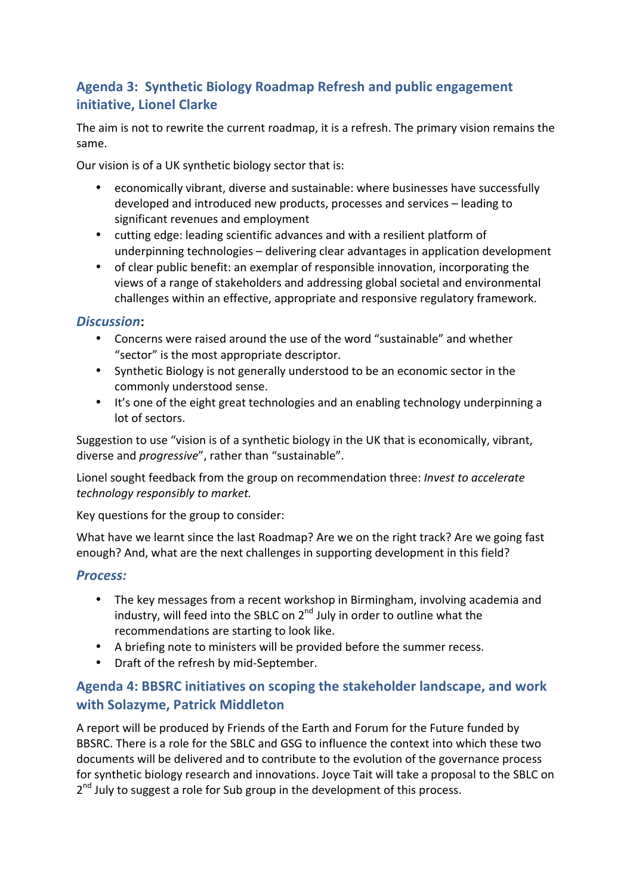# Agenda 3: Synthetic Biology Roadmap Refresh and public engagement **initiative, Lionel Clarke**

The aim is not to rewrite the current roadmap, it is a refresh. The primary vision remains the same. 

Our vision is of a UK synthetic biology sector that is:

- economically vibrant, diverse and sustainable: where businesses have successfully developed and introduced new products, processes and services – leading to significant revenues and employment
- cutting edge: leading scientific advances and with a resilient platform of underpinning technologies – delivering clear advantages in application development
- of clear public benefit: an exemplar of responsible innovation, incorporating the views of a range of stakeholders and addressing global societal and environmental challenges within an effective, appropriate and responsive regulatory framework.

### *Discussion***:**

- Concerns were raised around the use of the word "sustainable" and whether "sector" is the most appropriate descriptor.
- Synthetic Biology is not generally understood to be an economic sector in the commonly understood sense.
- It's one of the eight great technologies and an enabling technology underpinning a lot of sectors.

Suggestion to use "vision is of a synthetic biology in the UK that is economically, vibrant, diverse and *progressive"*, rather than "sustainable".

Lionel sought feedback from the group on recommendation three: *Invest to accelerate technology responsibly to market.*

Key questions for the group to consider:

What have we learnt since the last Roadmap? Are we on the right track? Are we going fast enough? And, what are the next challenges in supporting development in this field?

### *Process:*

- The key messages from a recent workshop in Birmingham, involving academia and industry, will feed into the SBLC on  $2^{nd}$  July in order to outline what the recommendations are starting to look like.
- A briefing note to ministers will be provided before the summer recess.
- Draft of the refresh by mid-September.

# Agenda 4: BBSRC initiatives on scoping the stakeholder landscape, and work **with Solazyme, Patrick Middleton**

A report will be produced by Friends of the Earth and Forum for the Future funded by BBSRC. There is a role for the SBLC and GSG to influence the context into which these two documents will be delivered and to contribute to the evolution of the governance process for synthetic biology research and innovations. Joyce Tait will take a proposal to the SBLC on  $2<sup>nd</sup>$  July to suggest a role for Sub group in the development of this process.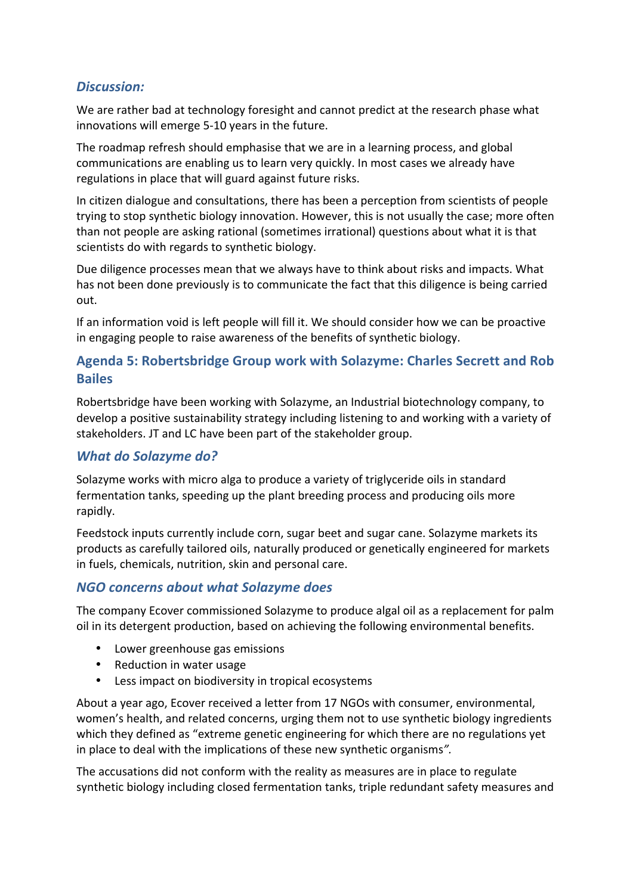## *Discussion:*

We are rather bad at technology foresight and cannot predict at the research phase what innovations will emerge 5-10 years in the future.

The roadmap refresh should emphasise that we are in a learning process, and global communications are enabling us to learn very quickly. In most cases we already have regulations in place that will guard against future risks.

In citizen dialogue and consultations, there has been a perception from scientists of people trying to stop synthetic biology innovation. However, this is not usually the case; more often than not people are asking rational (sometimes irrational) questions about what it is that scientists do with regards to synthetic biology.

Due diligence processes mean that we always have to think about risks and impacts. What has not been done previously is to communicate the fact that this diligence is being carried out.

If an information void is left people will fill it. We should consider how we can be proactive in engaging people to raise awareness of the benefits of synthetic biology.

## Agenda 5: Robertsbridge Group work with Solazyme: Charles Secrett and Rob **Bailes**

Robertsbridge have been working with Solazyme, an Industrial biotechnology company, to develop a positive sustainability strategy including listening to and working with a variety of stakeholders. JT and LC have been part of the stakeholder group.

### **What do Solazyme do?**

Solazyme works with micro alga to produce a variety of triglyceride oils in standard fermentation tanks, speeding up the plant breeding process and producing oils more rapidly. 

Feedstock inputs currently include corn, sugar beet and sugar cane. Solazyme markets its products as carefully tailored oils, naturally produced or genetically engineered for markets in fuels, chemicals, nutrition, skin and personal care.

## *NGO concerns about what Solazyme does*

The company Ecover commissioned Solazyme to produce algal oil as a replacement for palm oil in its detergent production, based on achieving the following environmental benefits.

- Lower greenhouse gas emissions
- Reduction in water usage
- Less impact on biodiversity in tropical ecosystems

About a year ago, Ecover received a letter from 17 NGOs with consumer, environmental, women's health, and related concerns, urging them not to use synthetic biology ingredients which they defined as "extreme genetic engineering for which there are no regulations yet in place to deal with the implications of these new synthetic organisms".

The accusations did not conform with the reality as measures are in place to regulate synthetic biology including closed fermentation tanks, triple redundant safety measures and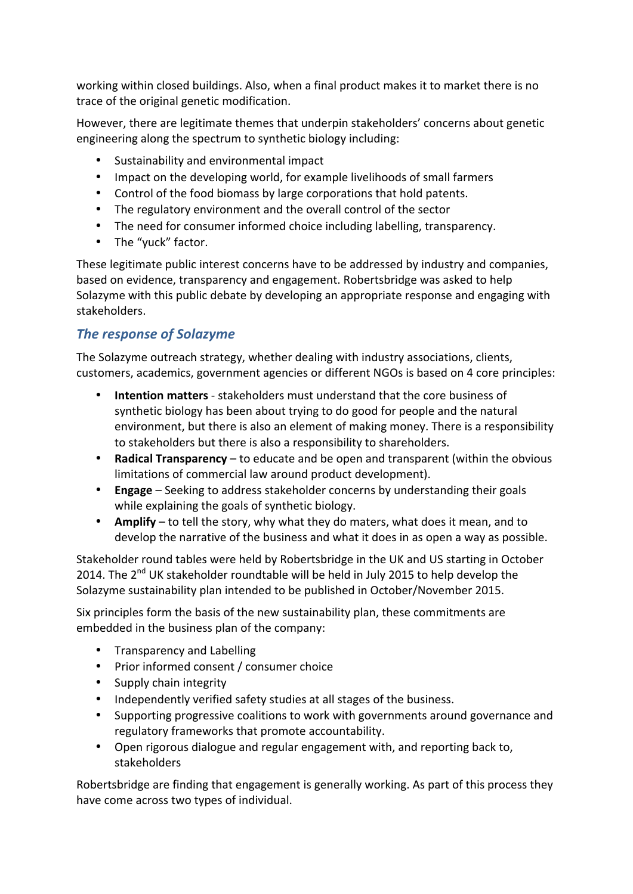working within closed buildings. Also, when a final product makes it to market there is no trace of the original genetic modification.

However, there are legitimate themes that underpin stakeholders' concerns about genetic engineering along the spectrum to synthetic biology including:

- Sustainability and environmental impact
- Impact on the developing world, for example livelihoods of small farmers
- Control of the food biomass by large corporations that hold patents.
- The regulatory environment and the overall control of the sector
- The need for consumer informed choice including labelling, transparency.
- The "yuck" factor.

These legitimate public interest concerns have to be addressed by industry and companies, based on evidence, transparency and engagement. Robertsbridge was asked to help Solazyme with this public debate by developing an appropriate response and engaging with stakeholders. 

## **The response of Solazyme**

The Solazyme outreach strategy, whether dealing with industry associations, clients, customers, academics, government agencies or different NGOs is based on 4 core principles:

- **Intention matters** stakeholders must understand that the core business of synthetic biology has been about trying to do good for people and the natural environment, but there is also an element of making money. There is a responsibility to stakeholders but there is also a responsibility to shareholders.
- **Radical Transparency** to educate and be open and transparent (within the obvious limitations of commercial law around product development).
- **Engage** Seeking to address stakeholder concerns by understanding their goals while explaining the goals of synthetic biology.
- Amplify to tell the story, why what they do maters, what does it mean, and to develop the narrative of the business and what it does in as open a way as possible.

Stakeholder round tables were held by Robertsbridge in the UK and US starting in October 2014. The  $2^{nd}$  UK stakeholder roundtable will be held in July 2015 to help develop the Solazyme sustainability plan intended to be published in October/November 2015.

Six principles form the basis of the new sustainability plan, these commitments are embedded in the business plan of the company:

- Transparency and Labelling
- Prior informed consent / consumer choice
- Supply chain integrity
- Independently verified safety studies at all stages of the business.
- Supporting progressive coalitions to work with governments around governance and regulatory frameworks that promote accountability.
- Open rigorous dialogue and regular engagement with, and reporting back to, stakeholders

Robertsbridge are finding that engagement is generally working. As part of this process they have come across two types of individual.